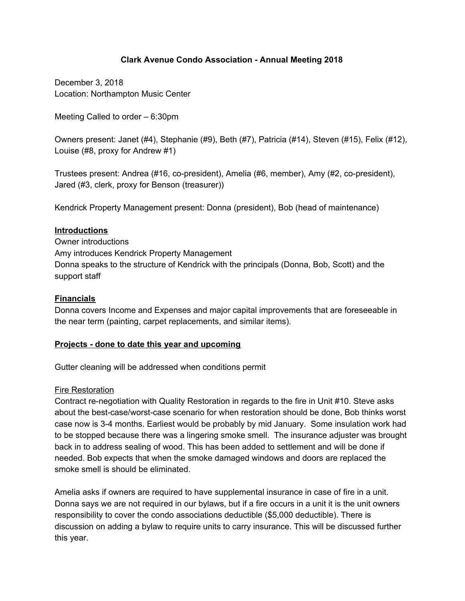# **Clark Avenue Condo Association - Annual Meeting 2018**

December 3, 2018 Location: Northampton Music Center

Meeting Called to order – 6:30pm

Owners present: Janet (#4), Stephanie (#9), Beth (#7), Patricia (#14), Steven (#15), Felix (#12), Louise (#8, proxy for Andrew #1)

Trustees present: Andrea (#16, co-president), Amelia (#6, member), Amy (#2, co-president), Jared (#3, clerk, proxy for Benson (treasurer))

Kendrick Property Management present: Donna (president), Bob (head of maintenance)

### **Introductions**

Owner introductions Amy introduces Kendrick Property Management Donna speaks to the structure of Kendrick with the principals (Donna, Bob, Scott) and the support staff

# **Financials**

Donna covers Income and Expenses and major capital improvements that are foreseeable in the near term (painting, carpet replacements, and similar items).

### **Projects - done to date this year and upcoming**

Gutter cleaning will be addressed when conditions permit

### Fire Restoration

Contract re-negotiation with Quality Restoration in regards to the fire in Unit #10. Steve asks about the best-case/worst-case scenario for when restoration should be done, Bob thinks worst case now is 3-4 months. Earliest would be probably by mid January. Some insulation work had to be stopped because there was a lingering smoke smell. The insurance adjuster was brought back in to address sealing of wood. This has been added to settlement and will be done if needed. Bob expects that when the smoke damaged windows and doors are replaced the smoke smell is should be eliminated.

Amelia asks if owners are required to have supplemental insurance in case of fire in a unit. Donna says we are not required in our bylaws, but if a fire occurs in a unit it is the unit owners responsibility to cover the condo associations deductible (\$5,000 deductible). There is discussion on adding a bylaw to require units to carry insurance. This will be discussed further this year.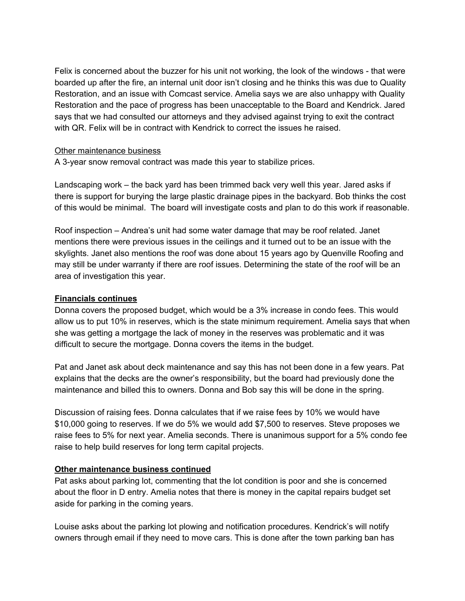Felix is concerned about the buzzer for his unit not working, the look of the windows - that were boarded up after the fire, an internal unit door isn't closing and he thinks this was due to Quality Restoration, and an issue with Comcast service. Amelia says we are also unhappy with Quality Restoration and the pace of progress has been unacceptable to the Board and Kendrick. Jared says that we had consulted our attorneys and they advised against trying to exit the contract with QR. Felix will be in contract with Kendrick to correct the issues he raised.

#### Other maintenance business

A 3-year snow removal contract was made this year to stabilize prices.

Landscaping work – the back yard has been trimmed back very well this year. Jared asks if there is support for burying the large plastic drainage pipes in the backyard. Bob thinks the cost of this would be minimal. The board will investigate costs and plan to do this work if reasonable.

Roof inspection – Andrea's unit had some water damage that may be roof related. Janet mentions there were previous issues in the ceilings and it turned out to be an issue with the skylights. Janet also mentions the roof was done about 15 years ago by Quenville Roofing and may still be under warranty if there are roof issues. Determining the state of the roof will be an area of investigation this year.

# **Financials continues**

Donna covers the proposed budget, which would be a 3% increase in condo fees. This would allow us to put 10% in reserves, which is the state minimum requirement. Amelia says that when she was getting a mortgage the lack of money in the reserves was problematic and it was difficult to secure the mortgage. Donna covers the items in the budget.

Pat and Janet ask about deck maintenance and say this has not been done in a few years. Pat explains that the decks are the owner's responsibility, but the board had previously done the maintenance and billed this to owners. Donna and Bob say this will be done in the spring.

Discussion of raising fees. Donna calculates that if we raise fees by 10% we would have \$10,000 going to reserves. If we do 5% we would add \$7,500 to reserves. Steve proposes we raise fees to 5% for next year. Amelia seconds. There is unanimous support for a 5% condo fee raise to help build reserves for long term capital projects.

### **Other maintenance business continued**

Pat asks about parking lot, commenting that the lot condition is poor and she is concerned about the floor in D entry. Amelia notes that there is money in the capital repairs budget set aside for parking in the coming years.

Louise asks about the parking lot plowing and notification procedures. Kendrick's will notify owners through email if they need to move cars. This is done after the town parking ban has